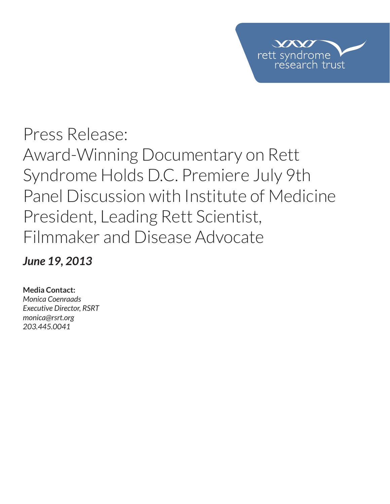

## Press Release: Award-Winning Documentary on Rett Syndrome Holds D.C. Premiere July 9th Panel Discussion with Institute of Medicine President, Leading Rett Scientist, Filmmaker and Disease Advocate

*June 19, 2013*

## **Media Contact:**

*Monica Coenraads Executive Director, RSRT monica@rsrt.org 203.445.0041*